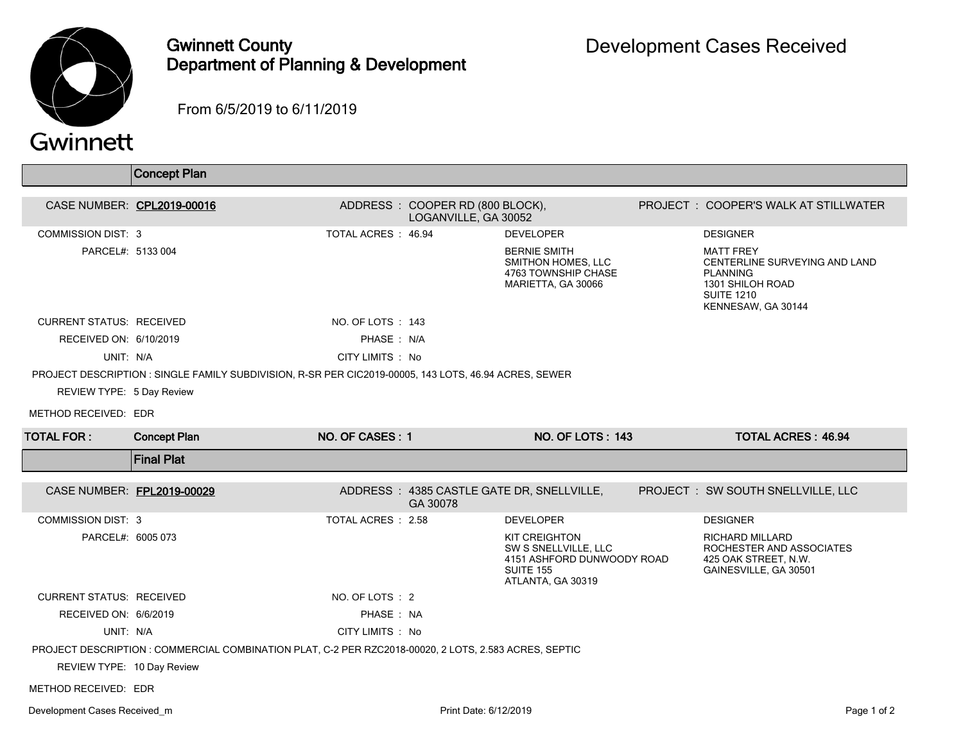

Gwinnett County Department of Planning & Development

From 6/5/2019 to 6/11/2019

|                                 | <b>Concept Plan</b>                                                                                   |                    |                                                         |                                                                                                                     |                                                                                                                                     |
|---------------------------------|-------------------------------------------------------------------------------------------------------|--------------------|---------------------------------------------------------|---------------------------------------------------------------------------------------------------------------------|-------------------------------------------------------------------------------------------------------------------------------------|
| CASE NUMBER: CPL2019-00016      |                                                                                                       |                    | ADDRESS: COOPER RD (800 BLOCK),<br>LOGANVILLE, GA 30052 |                                                                                                                     | PROJECT: COOPER'S WALK AT STILLWATER                                                                                                |
| <b>COMMISSION DIST: 3</b>       |                                                                                                       | TOTAL ACRES: 46.94 |                                                         | <b>DEVELOPER</b>                                                                                                    | <b>DESIGNER</b>                                                                                                                     |
| PARCEL#: 5133 004               |                                                                                                       |                    |                                                         | <b>BERNIE SMITH</b><br>SMITHON HOMES, LLC<br>4763 TOWNSHIP CHASE<br>MARIETTA, GA 30066                              | <b>MATT FREY</b><br>CENTERLINE SURVEYING AND LAND<br><b>PLANNING</b><br>1301 SHILOH ROAD<br><b>SUITE 1210</b><br>KENNESAW, GA 30144 |
| <b>CURRENT STATUS: RECEIVED</b> |                                                                                                       | NO. OF LOTS: 143   |                                                         |                                                                                                                     |                                                                                                                                     |
| RECEIVED ON: 6/10/2019          |                                                                                                       | PHASE: N/A         |                                                         |                                                                                                                     |                                                                                                                                     |
| UNIT: N/A                       |                                                                                                       | CITY LIMITS : No   |                                                         |                                                                                                                     |                                                                                                                                     |
|                                 | PROJECT DESCRIPTION : SINGLE FAMILY SUBDIVISION, R-SR PER CIC2019-00005, 143 LOTS, 46.94 ACRES, SEWER |                    |                                                         |                                                                                                                     |                                                                                                                                     |
| REVIEW TYPE: 5 Day Review       |                                                                                                       |                    |                                                         |                                                                                                                     |                                                                                                                                     |
| METHOD RECEIVED: EDR            |                                                                                                       |                    |                                                         |                                                                                                                     |                                                                                                                                     |
| <b>TOTAL FOR:</b>               | <b>Concept Plan</b>                                                                                   | NO. OF CASES: 1    |                                                         | NO. OF LOTS: 143                                                                                                    | <b>TOTAL ACRES: 46.94</b>                                                                                                           |
|                                 | <b>Final Plat</b>                                                                                     |                    |                                                         |                                                                                                                     |                                                                                                                                     |
| CASE NUMBER: FPL2019-00029      |                                                                                                       |                    | GA 30078                                                | ADDRESS: 4385 CASTLE GATE DR, SNELLVILLE,                                                                           | PROJECT : SW SOUTH SNELLVILLE, LLC                                                                                                  |
| COMMISSION DIST: 3              |                                                                                                       | TOTAL ACRES: 2.58  |                                                         | <b>DEVELOPER</b>                                                                                                    | <b>DESIGNER</b>                                                                                                                     |
| PARCEL#: 6005 073               |                                                                                                       |                    |                                                         | <b>KIT CREIGHTON</b><br>SW S SNELLVILLE, LLC<br>4151 ASHFORD DUNWOODY ROAD<br><b>SUITE 155</b><br>ATLANTA, GA 30319 | <b>RICHARD MILLARD</b><br>ROCHESTER AND ASSOCIATES<br>425 OAK STREET, N.W.<br>GAINESVILLE, GA 30501                                 |
| <b>CURRENT STATUS: RECEIVED</b> |                                                                                                       | NO. OF LOTS : 2    |                                                         |                                                                                                                     |                                                                                                                                     |
| RECEIVED ON: 6/6/2019           |                                                                                                       | PHASE: NA          |                                                         |                                                                                                                     |                                                                                                                                     |
| UNIT: N/A                       |                                                                                                       | CITY LIMITS : No   |                                                         |                                                                                                                     |                                                                                                                                     |
|                                 | PROJECT DESCRIPTION : COMMERCIAL COMBINATION PLAT, C-2 PER RZC2018-00020, 2 LOTS, 2.583 ACRES, SEPTIC |                    |                                                         |                                                                                                                     |                                                                                                                                     |
| REVIEW TYPE: 10 Day Review      |                                                                                                       |                    |                                                         |                                                                                                                     |                                                                                                                                     |
| METHOD RECEIVED: EDR            |                                                                                                       |                    |                                                         |                                                                                                                     |                                                                                                                                     |
| Development Cases Received m    |                                                                                                       |                    | Print Date: 6/12/2019                                   |                                                                                                                     | Page 1 of 2                                                                                                                         |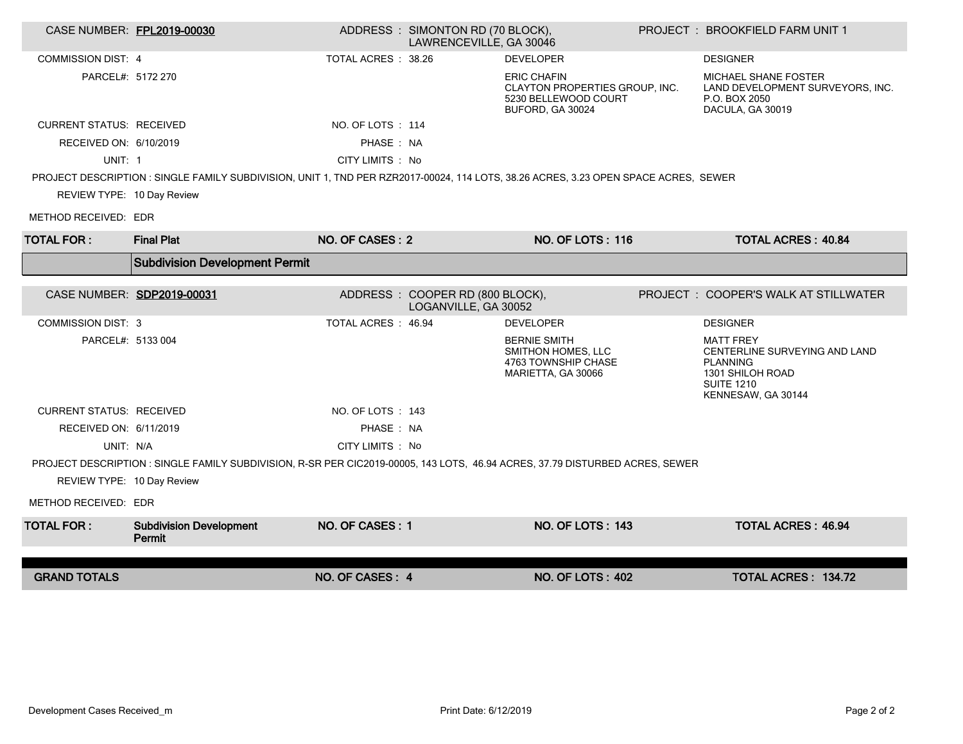| CASE NUMBER: FPL2019-00030      |                                                                                                                                     |                    | ADDRESS: SIMONTON RD (70 BLOCK),<br>LAWRENCEVILLE, GA 30046 |                                                                                                  | <b>PROJECT : BROOKFIELD FARM UNIT 1</b>                                                                                             |
|---------------------------------|-------------------------------------------------------------------------------------------------------------------------------------|--------------------|-------------------------------------------------------------|--------------------------------------------------------------------------------------------------|-------------------------------------------------------------------------------------------------------------------------------------|
| <b>COMMISSION DIST: 4</b>       |                                                                                                                                     | TOTAL ACRES: 38.26 |                                                             | <b>DEVELOPER</b>                                                                                 | <b>DESIGNER</b>                                                                                                                     |
| PARCEL#: 5172 270               |                                                                                                                                     |                    |                                                             | <b>ERIC CHAFIN</b><br>CLAYTON PROPERTIES GROUP, INC.<br>5230 BELLEWOOD COURT<br>BUFORD, GA 30024 | MICHAEL SHANE FOSTER<br>LAND DEVELOPMENT SURVEYORS, INC.<br>P.O. BOX 2050<br>DACULA, GA 30019                                       |
| <b>CURRENT STATUS: RECEIVED</b> |                                                                                                                                     | NO. OF LOTS: 114   |                                                             |                                                                                                  |                                                                                                                                     |
| RECEIVED ON: 6/10/2019          |                                                                                                                                     | PHASE : NA         |                                                             |                                                                                                  |                                                                                                                                     |
| UNIT: 1                         |                                                                                                                                     | CITY LIMITS : No   |                                                             |                                                                                                  |                                                                                                                                     |
|                                 | PROJECT DESCRIPTION : SINGLE FAMILY SUBDIVISION, UNIT 1, TND PER RZR2017-00024, 114 LOTS, 38.26 ACRES, 3.23 OPEN SPACE ACRES, SEWER |                    |                                                             |                                                                                                  |                                                                                                                                     |
| REVIEW TYPE: 10 Day Review      |                                                                                                                                     |                    |                                                             |                                                                                                  |                                                                                                                                     |
| METHOD RECEIVED: EDR            |                                                                                                                                     |                    |                                                             |                                                                                                  |                                                                                                                                     |
| <b>TOTAL FOR:</b>               | <b>Final Plat</b>                                                                                                                   | NO. OF CASES: 2    |                                                             | <b>NO. OF LOTS: 116</b>                                                                          | <b>TOTAL ACRES: 40.84</b>                                                                                                           |
|                                 | <b>Subdivision Development Permit</b>                                                                                               |                    |                                                             |                                                                                                  |                                                                                                                                     |
|                                 | CASE NUMBER: SDP2019-00031                                                                                                          |                    | ADDRESS: COOPER RD (800 BLOCK),<br>LOGANVILLE, GA 30052     |                                                                                                  | PROJECT: COOPER'S WALK AT STILLWATER                                                                                                |
| <b>COMMISSION DIST: 3</b>       |                                                                                                                                     | TOTAL ACRES: 46.94 |                                                             | <b>DEVELOPER</b>                                                                                 | <b>DESIGNER</b>                                                                                                                     |
| PARCEL#: 5133 004               |                                                                                                                                     |                    |                                                             | <b>BERNIE SMITH</b><br><b>SMITHON HOMES, LLC</b><br>4763 TOWNSHIP CHASE<br>MARIETTA, GA 30066    | <b>MATT FREY</b><br>CENTERLINE SURVEYING AND LAND<br><b>PLANNING</b><br>1301 SHILOH ROAD<br><b>SUITE 1210</b><br>KENNESAW, GA 30144 |
| <b>CURRENT STATUS: RECEIVED</b> |                                                                                                                                     | NO. OF LOTS: 143   |                                                             |                                                                                                  |                                                                                                                                     |
| RECEIVED ON: 6/11/2019          |                                                                                                                                     | PHASE: NA          |                                                             |                                                                                                  |                                                                                                                                     |
| UNIT: N/A                       |                                                                                                                                     | CITY LIMITS : No   |                                                             |                                                                                                  |                                                                                                                                     |
|                                 | PROJECT DESCRIPTION : SINGLE FAMILY SUBDIVISION, R-SR PER CIC2019-00005, 143 LOTS, 46.94 ACRES, 37.79 DISTURBED ACRES, SEWER        |                    |                                                             |                                                                                                  |                                                                                                                                     |
| REVIEW TYPE: 10 Day Review      |                                                                                                                                     |                    |                                                             |                                                                                                  |                                                                                                                                     |
| METHOD RECEIVED: EDR            |                                                                                                                                     |                    |                                                             |                                                                                                  |                                                                                                                                     |
| <b>TOTAL FOR:</b>               | <b>Subdivision Development</b><br>Permit                                                                                            | NO. OF CASES: 1    |                                                             | <b>NO. OF LOTS: 143</b>                                                                          | <b>TOTAL ACRES: 46.94</b>                                                                                                           |
|                                 |                                                                                                                                     |                    |                                                             |                                                                                                  |                                                                                                                                     |
| <b>GRAND TOTALS</b>             |                                                                                                                                     | NO. OF CASES: 4    |                                                             | <b>NO. OF LOTS: 402</b>                                                                          | TOTAL ACRES: 134.72                                                                                                                 |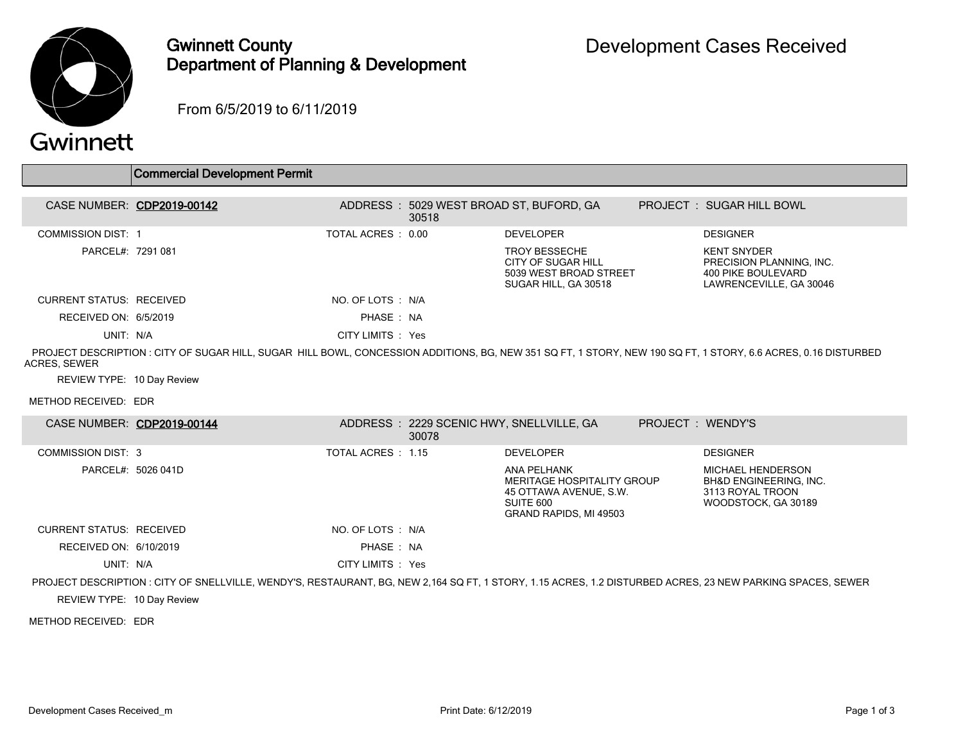

## Gwinnett County Department of Planning & Development

From 6/5/2019 to 6/11/2019

## Gwinnett

|                                 | Commercial Development Permit                                                                                                                                  |                   |                                                   |                                                                                              |                   |                                                                                                 |
|---------------------------------|----------------------------------------------------------------------------------------------------------------------------------------------------------------|-------------------|---------------------------------------------------|----------------------------------------------------------------------------------------------|-------------------|-------------------------------------------------------------------------------------------------|
|                                 |                                                                                                                                                                |                   |                                                   |                                                                                              |                   |                                                                                                 |
| CASE NUMBER: CDP2019-00142      |                                                                                                                                                                |                   | 30518                                             | ADDRESS: 5029 WEST BROAD ST, BUFORD, GA                                                      |                   | PROJECT: SUGAR HILL BOWL                                                                        |
| <b>COMMISSION DIST: 1</b>       |                                                                                                                                                                | TOTAL ACRES: 0.00 |                                                   | <b>DEVELOPER</b>                                                                             |                   | <b>DESIGNER</b>                                                                                 |
| PARCEL#: 7291 081               |                                                                                                                                                                |                   |                                                   | <b>TROY BESSECHE</b><br>CITY OF SUGAR HILL<br>5039 WEST BROAD STREET<br>SUGAR HILL, GA 30518 |                   | <b>KENT SNYDER</b><br>PRECISION PLANNING, INC.<br>400 PIKE BOULEVARD<br>LAWRENCEVILLE, GA 30046 |
| <b>CURRENT STATUS: RECEIVED</b> |                                                                                                                                                                | NO. OF LOTS : N/A |                                                   |                                                                                              |                   |                                                                                                 |
| RECEIVED ON: 6/5/2019           |                                                                                                                                                                | PHASE: NA         |                                                   |                                                                                              |                   |                                                                                                 |
| UNIT: N/A                       |                                                                                                                                                                | CITY LIMITS : Yes |                                                   |                                                                                              |                   |                                                                                                 |
| ACRES, SEWER                    | PROJECT DESCRIPTION : CITY OF SUGAR HILL, SUGAR HILL BOWL, CONCESSION ADDITIONS, BG, NEW 351 SQ FT, 1 STORY, NEW 190 SQ FT, 1 STORY, 6.6 ACRES, 0.16 DISTURBED |                   |                                                   |                                                                                              |                   |                                                                                                 |
| REVIEW TYPE: 10 Day Review      |                                                                                                                                                                |                   |                                                   |                                                                                              |                   |                                                                                                 |
| METHOD RECEIVED: EDR            |                                                                                                                                                                |                   |                                                   |                                                                                              |                   |                                                                                                 |
| CASE NUMBER: CDP2019-00144      |                                                                                                                                                                |                   | ADDRESS: 2229 SCENIC HWY, SNELLVILLE, GA<br>30078 |                                                                                              | PROJECT : WENDY'S |                                                                                                 |

|                                 |                    | 30078              |                                                                                                            |                                                                                                   |
|---------------------------------|--------------------|--------------------|------------------------------------------------------------------------------------------------------------|---------------------------------------------------------------------------------------------------|
| <b>COMMISSION DIST: 3</b>       |                    | TOTAL ACRES : 1.15 | <b>DEVELOPER</b>                                                                                           | <b>DESIGNER</b>                                                                                   |
|                                 | PARCEL#: 5026 041D |                    | ANA PELHANK<br>MERITAGE HOSPITALITY GROUP<br>45 OTTAWA AVENUE, S.W.<br>SUITE 600<br>GRAND RAPIDS, MI 49503 | MICHAEL HENDERSON<br><b>BH&amp;D ENGINEERING, INC.</b><br>3113 ROYAL TROON<br>WOODSTOCK, GA 30189 |
| <b>CURRENT STATUS: RECEIVED</b> |                    | NO. OF LOTS : N/A  |                                                                                                            |                                                                                                   |
| RECEIVED ON: 6/10/2019          |                    | PHASE: NA          |                                                                                                            |                                                                                                   |
| UNIT: N/A                       |                    | CITY LIMITS : Yes  |                                                                                                            |                                                                                                   |
|                                 |                    |                    |                                                                                                            |                                                                                                   |

PROJECT DESCRIPTION : CITY OF SNELLVILLE, WENDY'S, RESTAURANT, BG, NEW 2,164 SQ FT, 1 STORY, 1.15 ACRES, 1.2 DISTURBED ACRES, 23 NEW PARKING SPACES, SEWER

REVIEW TYPE: 10 Day Review

METHOD RECEIVED: EDR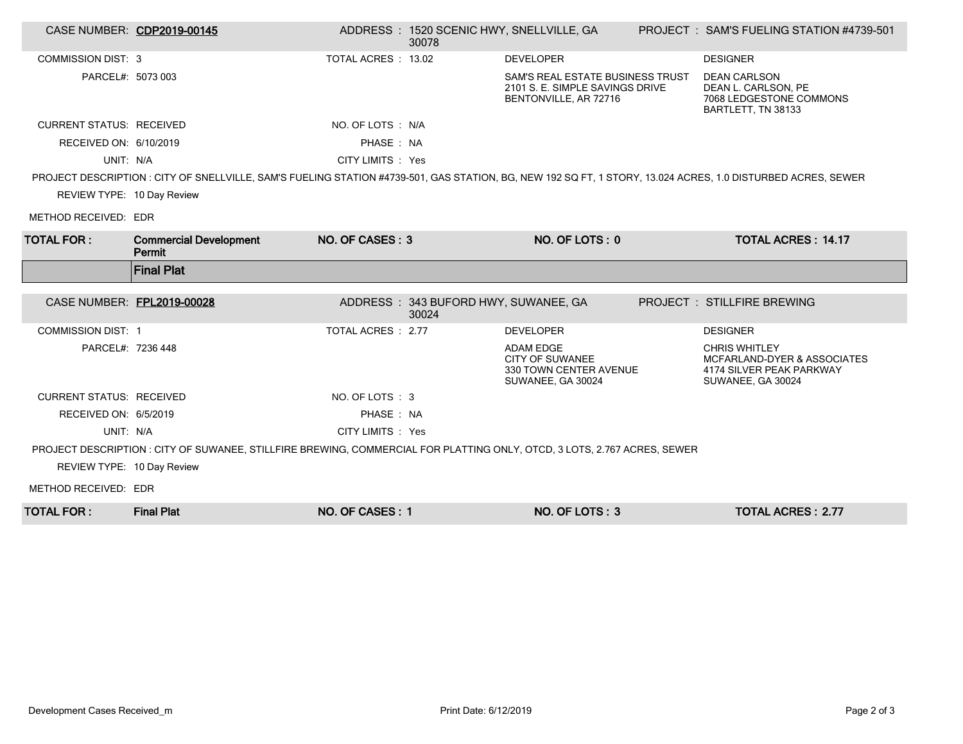| CASE NUMBER: CDP2019-00145      |                                                                                                                                                              |                     | ADDRESS: 1520 SCENIC HWY, SNELLVILLE, GA<br>30078 |                                                                                              | PROJECT: SAM'S FUELING STATION #4739-501                                                                        |
|---------------------------------|--------------------------------------------------------------------------------------------------------------------------------------------------------------|---------------------|---------------------------------------------------|----------------------------------------------------------------------------------------------|-----------------------------------------------------------------------------------------------------------------|
| <b>COMMISSION DIST: 3</b>       |                                                                                                                                                              | TOTAL ACRES : 13.02 |                                                   | <b>DEVELOPER</b>                                                                             | <b>DESIGNER</b>                                                                                                 |
| PARCEL#: 5073 003               |                                                                                                                                                              |                     |                                                   | SAM'S REAL ESTATE BUSINESS TRUST<br>2101 S. E. SIMPLE SAVINGS DRIVE<br>BENTONVILLE, AR 72716 | <b>DEAN CARLSON</b><br>DEAN L. CARLSON, PE<br>7068 LEDGESTONE COMMONS<br>BARTLETT, TN 38133                     |
| <b>CURRENT STATUS: RECEIVED</b> |                                                                                                                                                              | NO. OF LOTS: N/A    |                                                   |                                                                                              |                                                                                                                 |
| RECEIVED ON: 6/10/2019          |                                                                                                                                                              | PHASE : NA          |                                                   |                                                                                              |                                                                                                                 |
| UNIT: N/A                       |                                                                                                                                                              | CITY LIMITS : Yes   |                                                   |                                                                                              |                                                                                                                 |
|                                 | PROJECT DESCRIPTION : CITY OF SNELLVILLE, SAM'S FUELING STATION #4739-501, GAS STATION, BG, NEW 192 SQ FT, 1 STORY, 13.024 ACRES, 1.0 DISTURBED ACRES, SEWER |                     |                                                   |                                                                                              |                                                                                                                 |
| REVIEW TYPE: 10 Day Review      |                                                                                                                                                              |                     |                                                   |                                                                                              |                                                                                                                 |
| METHOD RECEIVED: EDR            |                                                                                                                                                              |                     |                                                   |                                                                                              |                                                                                                                 |
| <b>TOTAL FOR:</b>               | <b>Commercial Development</b><br>Permit                                                                                                                      | NO. OF CASES: 3     |                                                   | NO. OF LOTS: 0                                                                               | <b>TOTAL ACRES: 14.17</b>                                                                                       |
|                                 | <b>Final Plat</b>                                                                                                                                            |                     |                                                   |                                                                                              |                                                                                                                 |
|                                 |                                                                                                                                                              |                     |                                                   |                                                                                              |                                                                                                                 |
| CASE NUMBER: FPL2019-00028      |                                                                                                                                                              |                     | ADDRESS: 343 BUFORD HWY, SUWANEE, GA<br>30024     |                                                                                              | <b>PROJECT : STILLFIRE BREWING</b>                                                                              |
| <b>COMMISSION DIST: 1</b>       |                                                                                                                                                              | TOTAL ACRES: 2.77   |                                                   | <b>DEVELOPER</b>                                                                             | <b>DESIGNER</b>                                                                                                 |
| PARCEL#: 7236 448               |                                                                                                                                                              |                     |                                                   | <b>ADAM EDGE</b><br><b>CITY OF SUWANEE</b><br>330 TOWN CENTER AVENUE<br>SUWANEE, GA 30024    | <b>CHRIS WHITLEY</b><br><b>MCFARLAND-DYER &amp; ASSOCIATES</b><br>4174 SILVER PEAK PARKWAY<br>SUWANEE, GA 30024 |
| <b>CURRENT STATUS: RECEIVED</b> |                                                                                                                                                              | NO. OF LOTS: 3      |                                                   |                                                                                              |                                                                                                                 |
| RECEIVED ON: 6/5/2019           |                                                                                                                                                              | PHASE: NA           |                                                   |                                                                                              |                                                                                                                 |
| UNIT: N/A                       |                                                                                                                                                              | CITY LIMITS : Yes   |                                                   |                                                                                              |                                                                                                                 |
|                                 | PROJECT DESCRIPTION : CITY OF SUWANEE, STILLFIRE BREWING, COMMERCIAL FOR PLATTING ONLY, OTCD, 3 LOTS, 2.767 ACRES, SEWER                                     |                     |                                                   |                                                                                              |                                                                                                                 |
| REVIEW TYPE: 10 Day Review      |                                                                                                                                                              |                     |                                                   |                                                                                              |                                                                                                                 |
| METHOD RECEIVED: EDR            |                                                                                                                                                              |                     |                                                   |                                                                                              |                                                                                                                 |